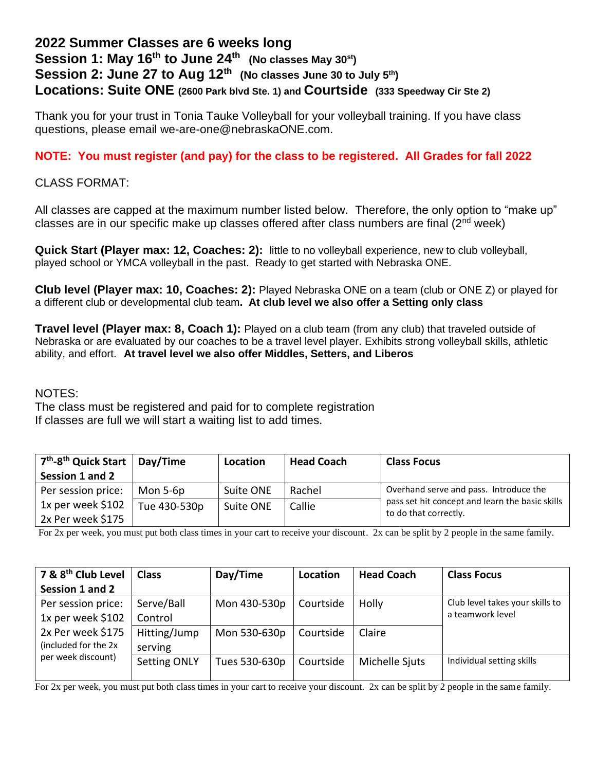## **2022 Summer Classes are 6 weeks long Session 1: May 16th to June 24th (No classes May 30st) Session 2: June 27 to Aug 12th (No classes June 30 to July 5th) Locations: Suite ONE (2600 Park blvd Ste. 1) and Courtside (333 Speedway Cir Ste 2)**

Thank you for your trust in Tonia Tauke Volleyball for your volleyball training. If you have class questions, please email we-are-one@nebraskaONE.com.

## **NOTE: You must register (and pay) for the class to be registered. All Grades for fall 2022**

CLASS FORMAT:

All classes are capped at the maximum number listed below. Therefore, the only option to "make up" classes are in our specific make up classes offered after class numbers are final  $(2^{nd}$  week)

**Quick Start (Player max: 12, Coaches: 2):** little to no volleyball experience, new to club volleyball, played school or YMCA volleyball in the past. Ready to get started with Nebraska ONE.

**Club level (Player max: 10, Coaches: 2):** Played Nebraska ONE on a team (club or ONE Z) or played for a different club or developmental club team**. At club level we also offer a Setting only class**

**Travel level (Player max: 8, Coach 1):** Played on a club team (from any club) that traveled outside of Nebraska or are evaluated by our coaches to be a travel level player. Exhibits strong volleyball skills, athletic ability, and effort. **At travel level we also offer Middles, Setters, and Liberos**

## NOTES:

The class must be registered and paid for to complete registration If classes are full we will start a waiting list to add times.

| 7 <sup>th</sup> -8 <sup>th</sup> Quick Start   Day/Time |              | Location  | <b>Head Coach</b> | <b>Class Focus</b>                                                                        |  |
|---------------------------------------------------------|--------------|-----------|-------------------|-------------------------------------------------------------------------------------------|--|
| Session 1 and 2                                         |              |           |                   |                                                                                           |  |
| Per session price:                                      | Mon 5-6p     | Suite ONE | Rachel            | Overhand serve and pass. Introduce the<br>pass set hit concept and learn the basic skills |  |
| 1x per week \$102                                       | Tue 430-530p | Suite ONE | Callie            |                                                                                           |  |
| 2x Per week \$175                                       |              |           |                   | to do that correctly.                                                                     |  |

For 2x per week, you must put both class times in your cart to receive your discount. 2x can be split by 2 people in the same family.

| 7 & 8 <sup>th</sup> Club Level | <b>Class</b>        | Day/Time      | Location  | <b>Head Coach</b> | <b>Class Focus</b>              |
|--------------------------------|---------------------|---------------|-----------|-------------------|---------------------------------|
| Session 1 and 2                |                     |               |           |                   |                                 |
| Per session price:             | Serve/Ball          | Mon 430-530p  | Courtside | Holly             | Club level takes your skills to |
| 1x per week \$102              | Control             |               |           |                   | a teamwork level                |
| 2x Per week \$175              | Hitting/Jump        | Mon 530-630p  | Courtside | Claire            |                                 |
| (included for the 2x)          | serving             |               |           |                   |                                 |
| per week discount)             | <b>Setting ONLY</b> | Tues 530-630p | Courtside | Michelle Sjuts    | Individual setting skills       |
|                                |                     |               |           |                   |                                 |

For 2x per week, you must put both class times in your cart to receive your discount. 2x can be split by 2 people in the same family.